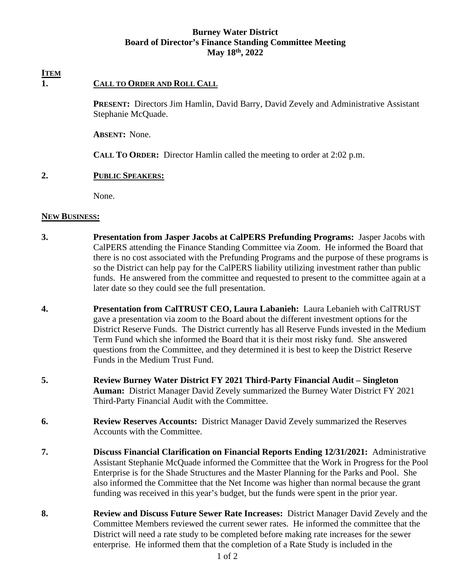### **Burney Water District Board of Director's Finance Standing Committee Meeting May 18th, 2022**

# **ITEM**

## **1. CALL TO ORDER AND ROLL CALL**

 **PRESENT:** Directors Jim Hamlin, David Barry, David Zevely and Administrative Assistant Stephanie McQuade.

 **ABSENT:** None.

 **CALL TO ORDER:** Director Hamlin called the meeting to order at 2:02 p.m.

#### **2. PUBLIC SPEAKERS:**

None.

#### **NEW BUSINESS:**

- **3. Presentation from Jasper Jacobs at CalPERS Prefunding Programs:** Jasper Jacobs with CalPERS attending the Finance Standing Committee via Zoom. He informed the Board that there is no cost associated with the Prefunding Programs and the purpose of these programs is so the District can help pay for the CalPERS liability utilizing investment rather than public funds. He answered from the committee and requested to present to the committee again at a later date so they could see the full presentation.
- **4. Presentation from CalTRUST CEO, Laura Labanieh:** Laura Lebanieh with CalTRUST gave a presentation via zoom to the Board about the different investment options for the District Reserve Funds. The District currently has all Reserve Funds invested in the Medium Term Fund which she informed the Board that it is their most risky fund. She answered questions from the Committee, and they determined it is best to keep the District Reserve Funds in the Medium Trust Fund.
- **5. Review Burney Water District FY 2021 Third-Party Financial Audit Singleton Auman:** District Manager David Zevely summarized the Burney Water District FY 2021 Third-Party Financial Audit with the Committee.
- **6. Review Reserves Accounts:** District Manager David Zevely summarized the Reserves Accounts with the Committee.
- **7. Discuss Financial Clarification on Financial Reports Ending 12/31/2021:** Administrative Assistant Stephanie McQuade informed the Committee that the Work in Progress for the Pool Enterprise is for the Shade Structures and the Master Planning for the Parks and Pool. She also informed the Committee that the Net Income was higher than normal because the grant funding was received in this year's budget, but the funds were spent in the prior year.
- **8. Review and Discuss Future Sewer Rate Increases:** District Manager David Zevely and the Committee Members reviewed the current sewer rates. He informed the committee that the District will need a rate study to be completed before making rate increases for the sewer enterprise. He informed them that the completion of a Rate Study is included in the